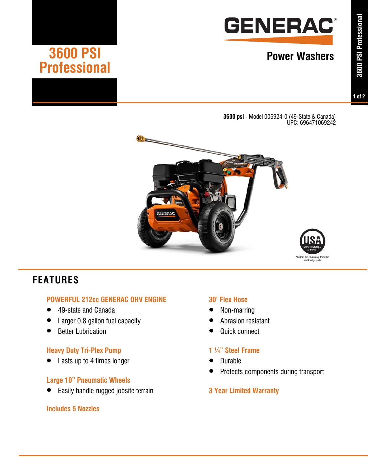

# **3600 PSI** Power Washers

**3600 psi** - Model 006924-0 (49-State & Canada) UPC: 696471069242



# **FEATURES**

# **POWERFUL 212cc GENERAC OHV ENGINE**

- 49-state and Canada
- Larger 0.8 gallon fuel capacity
- Better Lubrication

**Professional** 

# **Heavy Duty Tri-Plex Pump**

Lasts up to 4 times longer

# **Large 10" Pneumatic Wheels**

• Easily handle rugged jobsite terrain

### **Includes 5 Nozzles**

### **30' Flex Hose**

- Non-marring
- Abrasion resistant
- Quick connect

# **1 ¼" Steel Frame**

- Durable
- Protects components during transport

# **3 Year Limited Warranty**